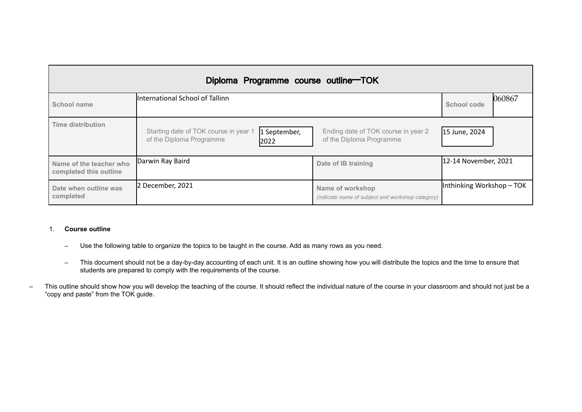| Diploma Programme course outline-TOK              |                                                                                           |                                                                      |                           |        |  |  |
|---------------------------------------------------|-------------------------------------------------------------------------------------------|----------------------------------------------------------------------|---------------------------|--------|--|--|
| School name                                       | International School of Tallinn                                                           |                                                                      | <b>School code</b>        | 060867 |  |  |
| <b>Time distribution</b>                          | Starting date of TOK course in year 1<br>1 September,<br>of the Diploma Programme<br>2022 | Ending date of TOK course in year 2<br>of the Diploma Programme      | 15 June, 2024             |        |  |  |
| Name of the teacher who<br>completed this outline | Darwin Ray Baird                                                                          | Date of IB training                                                  | 12-14 November, 2021      |        |  |  |
| Date when outline was<br>completed                | 2 December, 2021                                                                          | Name of workshop<br>(indicate name of subject and workshop category) | Inthinking Workshop - TOK |        |  |  |

# 1. **Course outline**

- Use the following table to organize the topics to be taught in the course. Add as many rows as you need.
- This document should not be a day-by-day accounting of each unit. It is an outline showing how you will distribute the topics and the time to ensure that students are prepared to comply with the requirements of the course.
- This outline should show how you will develop the teaching of the course. It should reflect the individual nature of the course in your classroom and should not just be a "copy and paste" from the TOK guide.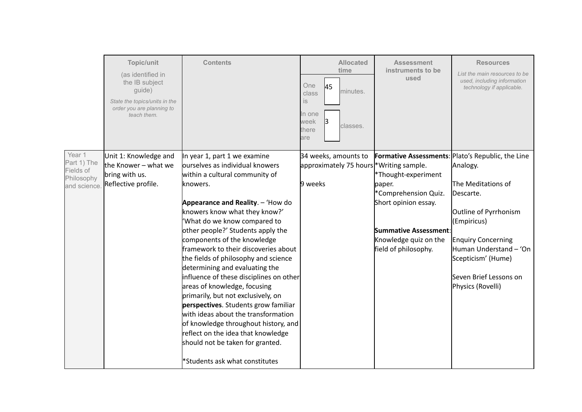|                                                                  | Topic/unit<br>(as identified in<br>the IB subject<br>guide)<br>State the topics/units in the<br>order you are planning to<br>teach them. | <b>Contents</b>                                                                                                                                                                                                                                                                                                                                                                                                                                                                                                                                                                                                                                                                                                                                               | <b>Allocated</b><br>time<br>One<br>45<br>minutes.<br>class<br>is<br>In one<br>week<br>classes.<br>there<br>are | <b>Assessment</b><br>instruments to be<br>used                                                                                                                 | <b>Resources</b><br>List the main resources to be<br>used, including information<br>technology if applicable.                                                                                                                                                               |
|------------------------------------------------------------------|------------------------------------------------------------------------------------------------------------------------------------------|---------------------------------------------------------------------------------------------------------------------------------------------------------------------------------------------------------------------------------------------------------------------------------------------------------------------------------------------------------------------------------------------------------------------------------------------------------------------------------------------------------------------------------------------------------------------------------------------------------------------------------------------------------------------------------------------------------------------------------------------------------------|----------------------------------------------------------------------------------------------------------------|----------------------------------------------------------------------------------------------------------------------------------------------------------------|-----------------------------------------------------------------------------------------------------------------------------------------------------------------------------------------------------------------------------------------------------------------------------|
| Year 1<br>Part 1) The<br>Fields of<br>Philosophy<br>and science. | Unit 1: Knowledge and<br>the Knower – what we<br>bring with us.<br>Reflective profile.                                                   | In year 1, part 1 we examine<br>ourselves as individual knowers<br>within a cultural community of<br>knowers.<br>Appearance and Reality. - 'How do<br>knowers know what they know?'<br>'What do we know compared to<br>other people?' Students apply the<br>components of the knowledge<br>framework to their discoveries about<br>the fields of philosophy and science<br>determining and evaluating the<br>influence of these disciplines on other<br>areas of knowledge, focusing<br>primarily, but not exclusively, on<br>perspectives. Students grow familiar<br>with ideas about the transformation<br>of knowledge throughout history, and<br>reflect on the idea that knowledge<br>should not be taken for granted.<br>*Students ask what constitutes | 34 weeks, amounts to<br>approximately 75 hours * Writing sample.<br>9 weeks                                    | *Thought-experiment<br>paper.<br>*Comprehension Quiz.<br>Short opinion essay.<br><b>Summative Assessment:</b><br>Knowledge quiz on the<br>field of philosophy. | <b>Formative Assessments: Plato's Republic, the Line</b><br>Analogy.<br>The Meditations of<br>Descarte.<br>Outline of Pyrrhonism<br>(Empiricus)<br><b>Enquiry Concerning</b><br>Human Understand - 'On<br>Scepticism' (Hume)<br>Seven Brief Lessons on<br>Physics (Rovelli) |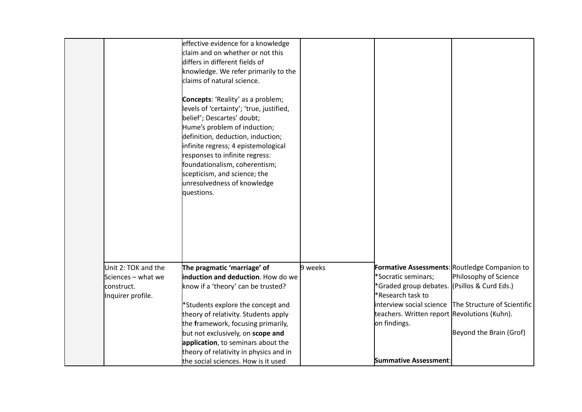|                                                                              | effective evidence for a knowledge<br>claim and on whether or not this<br>differs in different fields of<br>knowledge. We refer primarily to the<br>claims of natural science.<br><b>Concepts: 'Reality' as a problem;</b><br>levels of 'certainty'; 'true, justified,<br>belief'; Descartes' doubt;<br>Hume's problem of induction;<br>definition, deduction, induction;<br>infinite regress; 4 epistemological<br>responses to infinite regress:<br>foundationalism, coherentism;<br>scepticism, and science; the<br>unresolvedness of knowledge<br>questions. |         |                                                                                                                                                                                          |                                                                                                                                                                  |
|------------------------------------------------------------------------------|------------------------------------------------------------------------------------------------------------------------------------------------------------------------------------------------------------------------------------------------------------------------------------------------------------------------------------------------------------------------------------------------------------------------------------------------------------------------------------------------------------------------------------------------------------------|---------|------------------------------------------------------------------------------------------------------------------------------------------------------------------------------------------|------------------------------------------------------------------------------------------------------------------------------------------------------------------|
| Unit 2: TOK and the<br>Sciences - what we<br>construct.<br>Inquirer profile. | The pragmatic 'marriage' of<br>induction and deduction. How do we<br>know if a 'theory' can be trusted?<br>*Students explore the concept and<br>theory of relativity. Students apply<br>the framework, focusing primarily,<br>but not exclusively, on scope and<br>application, to seminars about the<br>theory of relativity in physics and in<br>the social sciences. How is it used                                                                                                                                                                           | 9 weeks | *Socratic seminars;<br>*Graded group debates. (Psillos & Curd Eds.)<br>*Research task to<br>teachers. Written report Revolutions (Kuhn).<br>on findings.<br><b>Summative Assessment:</b> | <b>Formative Assessments: Routledge Companion to</b><br>Philosophy of Science<br>interview social science The Structure of Scientific<br>Beyond the Brain (Grof) |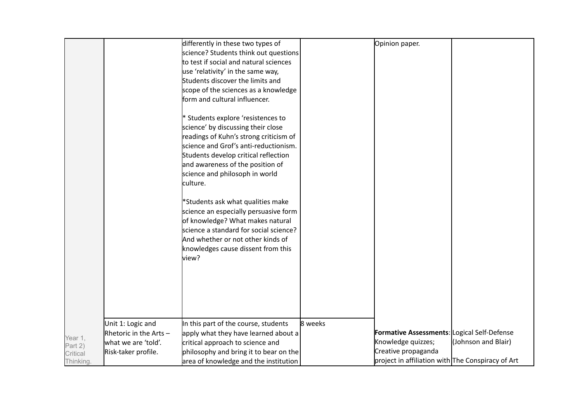|                    |                          | differently in these two types of      |         | Opinion paper.                                    |                     |
|--------------------|--------------------------|----------------------------------------|---------|---------------------------------------------------|---------------------|
|                    |                          | science? Students think out questions  |         |                                                   |                     |
|                    |                          | to test if social and natural sciences |         |                                                   |                     |
|                    |                          | use 'relativity' in the same way,      |         |                                                   |                     |
|                    |                          |                                        |         |                                                   |                     |
|                    |                          | Students discover the limits and       |         |                                                   |                     |
|                    |                          | scope of the sciences as a knowledge   |         |                                                   |                     |
|                    |                          | form and cultural influencer.          |         |                                                   |                     |
|                    |                          | * Students explore 'resistences to     |         |                                                   |                     |
|                    |                          | science' by discussing their close     |         |                                                   |                     |
|                    |                          | readings of Kuhn's strong criticism of |         |                                                   |                     |
|                    |                          | science and Grof's anti-reductionism.  |         |                                                   |                     |
|                    |                          | Students develop critical reflection   |         |                                                   |                     |
|                    |                          | and awareness of the position of       |         |                                                   |                     |
|                    |                          | science and philosoph in world         |         |                                                   |                     |
|                    |                          | culture.                               |         |                                                   |                     |
|                    |                          |                                        |         |                                                   |                     |
|                    |                          | *Students ask what qualities make      |         |                                                   |                     |
|                    |                          | science an especially persuasive form  |         |                                                   |                     |
|                    |                          | of knowledge? What makes natural       |         |                                                   |                     |
|                    |                          | science a standard for social science? |         |                                                   |                     |
|                    |                          | And whether or not other kinds of      |         |                                                   |                     |
|                    |                          | knowledges cause dissent from this     |         |                                                   |                     |
|                    |                          | view?                                  |         |                                                   |                     |
|                    |                          |                                        |         |                                                   |                     |
|                    |                          |                                        |         |                                                   |                     |
|                    |                          |                                        |         |                                                   |                     |
|                    |                          |                                        |         |                                                   |                     |
|                    |                          |                                        |         |                                                   |                     |
|                    |                          |                                        |         |                                                   |                     |
|                    | Unit 1: Logic and        | In this part of the course, students   | 8 weeks |                                                   |                     |
|                    | Rhetoric in the Arts $-$ | apply what they have learned about a   |         | Formative Assessments: Logical Self-Defense       |                     |
| Year 1,<br>Part 2) | what we are 'told'.      | critical approach to science and       |         | Knowledge quizzes;                                | (Johnson and Blair) |
| Critical           | Risk-taker profile.      | philosophy and bring it to bear on the |         | Creative propaganda                               |                     |
| Thinking.          |                          | area of knowledge and the institution  |         | project in affiliation with The Conspiracy of Art |                     |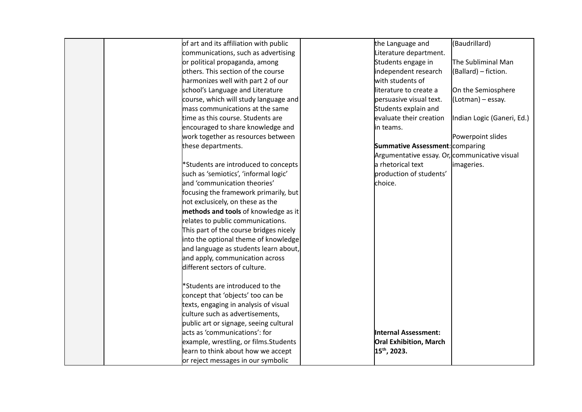| of art and its affiliation with public | the Language and                              | (Baudrillard)              |
|----------------------------------------|-----------------------------------------------|----------------------------|
| communications, such as advertising    | Literature department.                        |                            |
| or political propaganda, among         | Students engage in                            | The Subliminal Man         |
| others. This section of the course     | independent research                          | (Ballard) - fiction.       |
| harmonizes well with part 2 of our     | with students of                              |                            |
| school's Language and Literature       | literature to create a                        | On the Semiosphere         |
| course, which will study language and  | persuasive visual text.                       | (Lotman) - essay.          |
| mass communications at the same        | Students explain and                          |                            |
| time as this course. Students are      | evaluate their creation                       | Indian Logic (Ganeri, Ed.) |
| encouraged to share knowledge and      | in teams.                                     |                            |
| work together as resources between     |                                               | Powerpoint slides          |
| these departments.                     | <b>Summative Assessment: comparing</b>        |                            |
|                                        | Argumentative essay. Or, communicative visual |                            |
| *Students are introduced to concepts   | a rhetorical text                             | imageries.                 |
| such as 'semiotics', 'informal logic'  | production of students'                       |                            |
| and 'communication theories'           | choice.                                       |                            |
| focusing the framework primarily, but  |                                               |                            |
| not exclusicely, on these as the       |                                               |                            |
| methods and tools of knowledge as it   |                                               |                            |
| relates to public communications.      |                                               |                            |
| This part of the course bridges nicely |                                               |                            |
| into the optional theme of knowledge   |                                               |                            |
| and language as students learn about,  |                                               |                            |
| and apply, communication across        |                                               |                            |
| different sectors of culture.          |                                               |                            |
|                                        |                                               |                            |
| *Students are introduced to the        |                                               |                            |
| concept that 'objects' too can be      |                                               |                            |
| texts, engaging in analysis of visual  |                                               |                            |
| culture such as advertisements,        |                                               |                            |
| public art or signage, seeing cultural |                                               |                            |
| acts as 'communications': for          | Internal Assessment:                          |                            |
| example, wrestling, or films.Students  | <b>Oral Exhibition, March</b>                 |                            |
| learn to think about how we accept     | 15 <sup>th</sup> , 2023.                      |                            |
| or reject messages in our symbolic     |                                               |                            |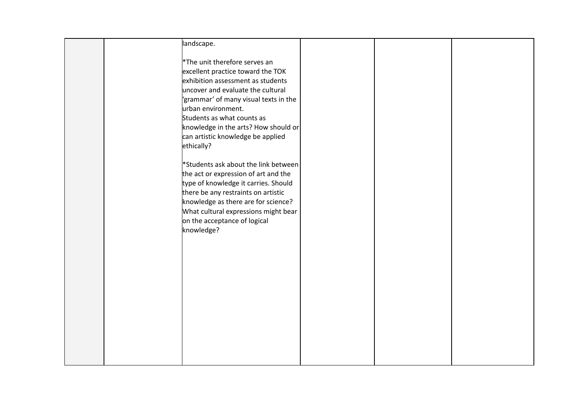|  | landscape.                                                                   |  |  |
|--|------------------------------------------------------------------------------|--|--|
|  | <sup>*</sup> The unit therefore serves an                                    |  |  |
|  | excellent practice toward the TOK                                            |  |  |
|  | exhibition assessment as students                                            |  |  |
|  | uncover and evaluate the cultural                                            |  |  |
|  | 'grammar' of many visual texts in the                                        |  |  |
|  | urban environment.                                                           |  |  |
|  | Students as what counts as                                                   |  |  |
|  | knowledge in the arts? How should or                                         |  |  |
|  | can artistic knowledge be applied                                            |  |  |
|  | ethically?                                                                   |  |  |
|  |                                                                              |  |  |
|  | *Students ask about the link between                                         |  |  |
|  | the act or expression of art and the<br>type of knowledge it carries. Should |  |  |
|  | there be any restraints on artistic                                          |  |  |
|  | knowledge as there are for science?                                          |  |  |
|  | What cultural expressions might bear                                         |  |  |
|  | on the acceptance of logical                                                 |  |  |
|  | knowledge?                                                                   |  |  |
|  |                                                                              |  |  |
|  |                                                                              |  |  |
|  |                                                                              |  |  |
|  |                                                                              |  |  |
|  |                                                                              |  |  |
|  |                                                                              |  |  |
|  |                                                                              |  |  |
|  |                                                                              |  |  |
|  |                                                                              |  |  |
|  |                                                                              |  |  |
|  |                                                                              |  |  |
|  |                                                                              |  |  |
|  |                                                                              |  |  |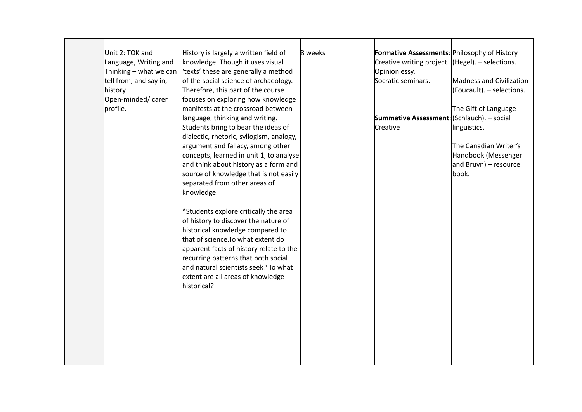| Unit 2: TOK and        | History is largely a written field of    | 8 weeks | <b>Formative Assessments: Philosophy of History</b>  |                           |
|------------------------|------------------------------------------|---------|------------------------------------------------------|---------------------------|
| Language, Writing and  | knowledge. Though it uses visual         |         | Creative writing project. $ $ (Hegel). – selections. |                           |
| Thinking - what we can | texts' these are generally a method      |         | Opinion essy.                                        |                           |
| tell from, and say in, | of the social science of archaeology.    |         | Socratic seminars.                                   | Madness and Civilization  |
| history.               | Therefore, this part of the course       |         |                                                      | (Foucault). - selections. |
| Open-minded/carer      | focuses on exploring how knowledge       |         |                                                      |                           |
| profile.               | manifests at the crossroad between       |         |                                                      | The Gift of Language      |
|                        | language, thinking and writing.          |         | <b>Summative Assessment:</b> (Schlauch). - social    |                           |
|                        | Students bring to bear the ideas of      |         | Creative                                             | linguistics.              |
|                        | dialectic, rhetoric, syllogism, analogy, |         |                                                      |                           |
|                        | argument and fallacy, among other        |         |                                                      | The Canadian Writer's     |
|                        | concepts, learned in unit 1, to analyse  |         |                                                      | Handbook (Messenger       |
|                        | and think about history as a form and    |         |                                                      | and Bruyn) – resource     |
|                        | source of knowledge that is not easily   |         |                                                      | book.                     |
|                        | separated from other areas of            |         |                                                      |                           |
|                        | knowledge.                               |         |                                                      |                           |
|                        |                                          |         |                                                      |                           |
|                        | *Students explore critically the area    |         |                                                      |                           |
|                        | of history to discover the nature of     |         |                                                      |                           |
|                        | historical knowledge compared to         |         |                                                      |                           |
|                        | that of science.To what extent do        |         |                                                      |                           |
|                        | apparent facts of history relate to the  |         |                                                      |                           |
|                        | recurring patterns that both social      |         |                                                      |                           |
|                        | and natural scientists seek? To what     |         |                                                      |                           |
|                        | extent are all areas of knowledge        |         |                                                      |                           |
|                        | historical?                              |         |                                                      |                           |
|                        |                                          |         |                                                      |                           |
|                        |                                          |         |                                                      |                           |
|                        |                                          |         |                                                      |                           |
|                        |                                          |         |                                                      |                           |
|                        |                                          |         |                                                      |                           |
|                        |                                          |         |                                                      |                           |
|                        |                                          |         |                                                      |                           |
|                        |                                          |         |                                                      |                           |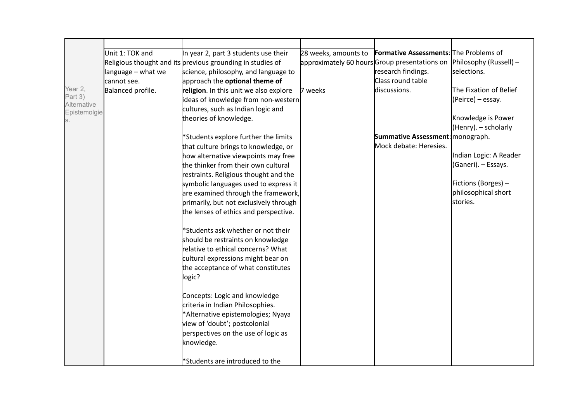|                        | Unit 1: TOK and    | In year 2, part 3 students use their                       | 28 weeks, amounts to | <b>Formative Assessments:</b> The Problems of |                        |
|------------------------|--------------------|------------------------------------------------------------|----------------------|-----------------------------------------------|------------------------|
|                        |                    | Religious thought and its previous grounding in studies of |                      | approximately 60 hours Group presentations on | Philosophy (Russell) – |
|                        | language - what we | science, philosophy, and language to                       |                      | research findings.                            | selections.            |
|                        | cannot see.        | approach the <b>optional theme of</b>                      |                      | Class round table                             |                        |
| Year 2,                | Balanced profile.  | religion. In this unit we also explore                     | 7 weeks              | discussions.                                  | The Fixation of Belief |
| Part 3)<br>Alternative |                    | ideas of knowledge from non-western                        |                      |                                               | (Peirce) - essay.      |
| Epistemolgie           |                    | cultures, such as Indian logic and                         |                      |                                               |                        |
| S.                     |                    | theories of knowledge.                                     |                      |                                               | Knowledge is Power     |
|                        |                    |                                                            |                      |                                               | (Henry). - scholarly   |
|                        |                    | *Students explore further the limits                       |                      | Summative Assessment: monograph.              |                        |
|                        |                    | that culture brings to knowledge, or                       |                      | Mock debate: Heresies.                        |                        |
|                        |                    | how alternative viewpoints may free                        |                      |                                               | Indian Logic: A Reader |
|                        |                    | the thinker from their own cultural                        |                      |                                               | (Ganeri). - Essays.    |
|                        |                    | restraints. Religious thought and the                      |                      |                                               |                        |
|                        |                    | symbolic languages used to express it                      |                      |                                               | Fictions (Borges) -    |
|                        |                    | are examined through the framework,                        |                      |                                               | philosophical short    |
|                        |                    | primarily, but not exclusively through                     |                      |                                               | stories.               |
|                        |                    | the lenses of ethics and perspective.                      |                      |                                               |                        |
|                        |                    | *Students ask whether or not their                         |                      |                                               |                        |
|                        |                    | should be restraints on knowledge                          |                      |                                               |                        |
|                        |                    | relative to ethical concerns? What                         |                      |                                               |                        |
|                        |                    | cultural expressions might bear on                         |                      |                                               |                        |
|                        |                    | the acceptance of what constitutes                         |                      |                                               |                        |
|                        |                    | logic?                                                     |                      |                                               |                        |
|                        |                    |                                                            |                      |                                               |                        |
|                        |                    | Concepts: Logic and knowledge                              |                      |                                               |                        |
|                        |                    | criteria in Indian Philosophies.                           |                      |                                               |                        |
|                        |                    | *Alternative epistemologies; Nyaya                         |                      |                                               |                        |
|                        |                    | view of 'doubt'; postcolonial                              |                      |                                               |                        |
|                        |                    | perspectives on the use of logic as                        |                      |                                               |                        |
|                        |                    | knowledge.                                                 |                      |                                               |                        |
|                        |                    |                                                            |                      |                                               |                        |
|                        |                    | *Students are introduced to the                            |                      |                                               |                        |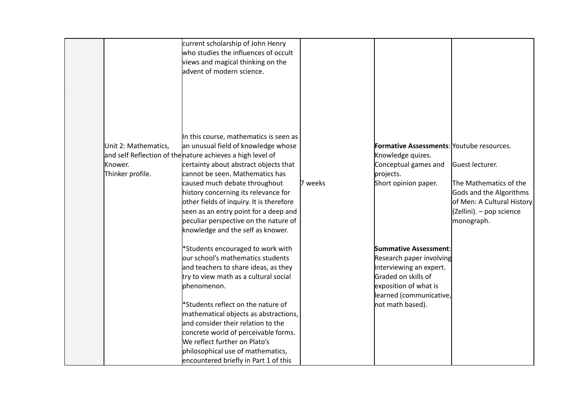|                                                     | current scholarship of John Henry<br>who studies the influences of occult<br>views and magical thinking on the<br>advent of modern science.<br>In this course, mathematics is seen as                                                                                                                                                                                                                                                              |         |                                                                                                                                                                             |                                                                                                                                              |
|-----------------------------------------------------|----------------------------------------------------------------------------------------------------------------------------------------------------------------------------------------------------------------------------------------------------------------------------------------------------------------------------------------------------------------------------------------------------------------------------------------------------|---------|-----------------------------------------------------------------------------------------------------------------------------------------------------------------------------|----------------------------------------------------------------------------------------------------------------------------------------------|
| Unit 2: Mathematics,<br>Knower.<br>Thinker profile. | an unusual field of knowledge whose<br>and self Reflection of thenature achieves a high level of<br>certainty about abstract objects that<br>cannot be seen. Mathematics has<br>caused much debate throughout<br>history concerning its relevance for<br>other fields of inquiry. It is therefore<br>seen as an entry point for a deep and<br>peculiar perspective on the nature of<br>knowledge and the self as knower.                           | 7 weeks | Formative Assessments: Youtube resources.<br>Knowledge quizes.<br>Conceptual games and<br>projects.<br>Short opinion paper.                                                 | Guest lecturer.<br>The Mathematics of the<br>Gods and the Algorithms<br>of Men: A Cultural History<br>(Zellini). - pop science<br>monograph. |
|                                                     | *Students encouraged to work with<br>our school's mathematics students<br>and teachers to share ideas, as they<br>try to view math as a cultural social<br>bhenomenon.<br>*Students reflect on the nature of<br>mathematical objects as abstractions,<br>and consider their relation to the<br>concrete world of perceivable forms.<br>We reflect further on Plato's<br>philosophical use of mathematics,<br>encountered briefly in Part 1 of this |         | Summative Assessment:<br>Research paper involving<br>interviewing an expert.<br>Graded on skills of<br>exposition of what is<br>learned (communicative,<br>not math based). |                                                                                                                                              |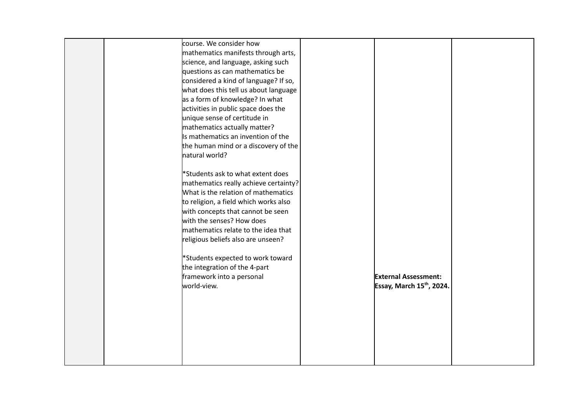| course. We consider how               |                             |
|---------------------------------------|-----------------------------|
| mathematics manifests through arts,   |                             |
| science, and language, asking such    |                             |
| questions as can mathematics be       |                             |
| considered a kind of language? If so, |                             |
| what does this tell us about language |                             |
| as a form of knowledge? In what       |                             |
| activities in public space does the   |                             |
| unique sense of certitude in          |                             |
| mathematics actually matter?          |                             |
| Is mathematics an invention of the    |                             |
| the human mind or a discovery of the  |                             |
| natural world?                        |                             |
|                                       |                             |
| *Students ask to what extent does     |                             |
| mathematics really achieve certainty? |                             |
| What is the relation of mathematics   |                             |
| to religion, a field which works also |                             |
| with concepts that cannot be seen     |                             |
| with the senses? How does             |                             |
| mathematics relate to the idea that   |                             |
| religious beliefs also are unseen?    |                             |
|                                       |                             |
| *Students expected to work toward     |                             |
| the integration of the 4-part         |                             |
| framework into a personal             | <b>External Assessment:</b> |
| world-view.                           | Essay, March 15th, 2024.    |
|                                       |                             |
|                                       |                             |
|                                       |                             |
|                                       |                             |
|                                       |                             |
|                                       |                             |
|                                       |                             |
|                                       |                             |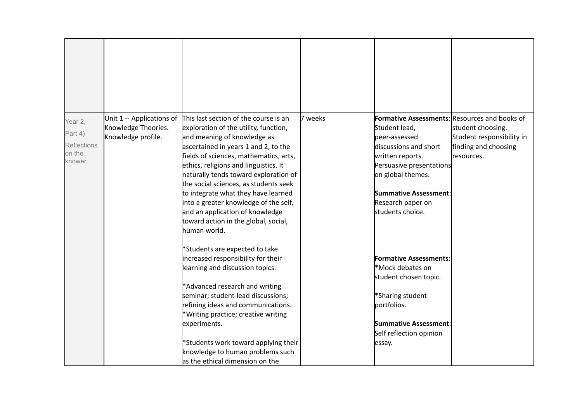| Year 2,<br>Part 4)<br><b>Reflections</b><br>on the<br>knower. | Unit 1 -- Applications of<br>Knowledge Theories.<br>Knowledge profile. | This last section of the course is an<br>exploration of the utility, function,<br>and meaning of knowledge as<br>ascertained in years 1 and 2, to the<br>fields of sciences, mathematics, arts,<br>ethics, religions and linguistics. It<br>naturally tends toward exploration of<br>the social sciences, as students seek<br>to integrate what they have learned<br>into a greater knowledge of the self,<br>and an application of knowledge<br>toward action in the global, social,<br>human world. | 7 weeks | <b>Formative Assessments: Resources and books of</b><br>Student lead,<br>peer-assessed<br>discussions and short<br>written reports.<br>Persuasive presentations<br>on global themes.<br>Summative Assessment:<br>Research paper on<br>students choice. | student choosing.<br>Student responsibility in<br>finding and choosing<br>resources. |
|---------------------------------------------------------------|------------------------------------------------------------------------|-------------------------------------------------------------------------------------------------------------------------------------------------------------------------------------------------------------------------------------------------------------------------------------------------------------------------------------------------------------------------------------------------------------------------------------------------------------------------------------------------------|---------|--------------------------------------------------------------------------------------------------------------------------------------------------------------------------------------------------------------------------------------------------------|--------------------------------------------------------------------------------------|
|                                                               |                                                                        | *Students are expected to take<br>increased responsibility for their<br>learning and discussion topics.<br>*Advanced research and writing<br>seminar; student-lead discussions;<br>refining ideas and communications.<br>*Writing practice; creative writing<br>experiments.<br>*Students work toward applying their<br>knowledge to human problems such<br>as the ethical dimension on the                                                                                                           |         | <b>Formative Assessments:</b><br>*Mock debates on<br>student chosen topic.<br>*Sharing student<br>portfolios.<br>Summative Assessment:<br>Self reflection opinion<br>essay.                                                                            |                                                                                      |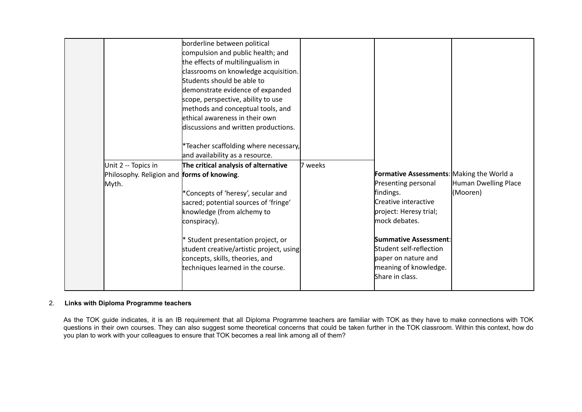|                                                   | borderline between political             |         |                                           |                      |
|---------------------------------------------------|------------------------------------------|---------|-------------------------------------------|----------------------|
|                                                   | compulsion and public health; and        |         |                                           |                      |
|                                                   | the effects of multilingualism in        |         |                                           |                      |
|                                                   | classrooms on knowledge acquisition.     |         |                                           |                      |
|                                                   | Students should be able to               |         |                                           |                      |
|                                                   | demonstrate evidence of expanded         |         |                                           |                      |
|                                                   | scope, perspective, ability to use       |         |                                           |                      |
|                                                   | methods and conceptual tools, and        |         |                                           |                      |
|                                                   | ethical awareness in their own           |         |                                           |                      |
|                                                   | discussions and written productions.     |         |                                           |                      |
|                                                   |                                          |         |                                           |                      |
|                                                   | *Teacher scaffolding where necessary,    |         |                                           |                      |
|                                                   | and availability as a resource.          |         |                                           |                      |
| Unit 2 -- Topics in                               | The critical analysis of alternative     | 7 weeks |                                           |                      |
| Philosophy. Religion and <i>forms</i> of knowing. |                                          |         | Formative Assessments: Making the World a |                      |
| Myth.                                             |                                          |         | Presenting personal                       | Human Dwelling Place |
|                                                   | *Concepts of 'heresy', secular and       |         | findings.                                 | (Mooren)             |
|                                                   | sacred; potential sources of 'fringe'    |         | Creative interactive                      |                      |
|                                                   | knowledge (from alchemy to               |         | project: Heresy trial;                    |                      |
|                                                   | conspiracy).                             |         | mock debates.                             |                      |
|                                                   |                                          |         |                                           |                      |
|                                                   | * Student presentation project, or       |         | Summative Assessment:                     |                      |
|                                                   | student creative/artistic project, using |         | Student self-reflection                   |                      |
|                                                   | concepts, skills, theories, and          |         | paper on nature and                       |                      |
|                                                   | techniques learned in the course.        |         | meaning of knowledge.                     |                      |
|                                                   |                                          |         | Share in class.                           |                      |
|                                                   |                                          |         |                                           |                      |

# 2. **Links with Diploma Programme teachers**

As the TOK guide indicates, it is an IB requirement that all Diploma Programme teachers are familiar with TOK as they have to make connections with TOK questions in their own courses. They can also suggest some theoretical concerns that could be taken further in the TOK classroom. Within this context, how do you plan to work with your colleagues to ensure that TOK becomes a real link among all of them?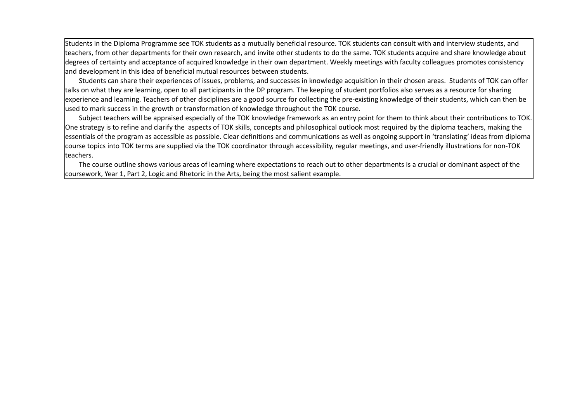Students in the Diploma Programme see TOK students as a mutually beneficial resource. TOK students can consult with and interview students, and teachers, from other departments for their own research, and invite other students to do the same. TOK students acquire and share knowledge about degrees of certainty and acceptance of acquired knowledge in their own department. Weekly meetings with faculty colleagues promotes consistency and development in this idea of beneficial mutual resources between students.

Students can share their experiences of issues, problems, and successes in knowledge acquisition in their chosen areas. Students of TOK can offer talks on what they are learning, open to all participants in the DP program. The keeping of student portfolios also serves as a resource for sharing experience and learning. Teachers of other disciplines are a good source for collecting the pre-existing knowledge of their students, which can then be used to mark success in the growth or transformation of knowledge throughout the TOK course.

Subject teachers will be appraised especially of the TOK knowledge framework as an entry point for them to think about their contributions to TOK. One strategy is to refine and clarify the aspects of TOK skills, concepts and philosophical outlook most required by the diploma teachers, making the essentials of the program as accessible as possible. Clear definitions and communications as well as ongoing support in 'translating' ideas from diploma course topics into TOK terms are supplied via the TOK coordinator through accessibility, regular meetings, and user-friendly illustrations for non-TOK teachers.

The course outline shows various areas of learning where expectations to reach out to other departments is a crucial or dominant aspect of the coursework, Year 1, Part 2, Logic and Rhetoric in the Arts, being the most salient example.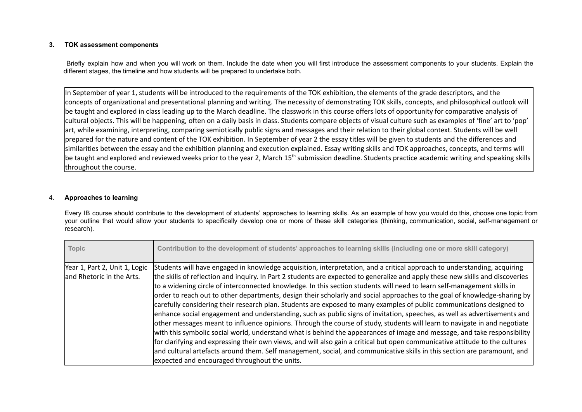## **3. TOK assessment components**

Briefly explain how and when you will work on them. Include the date when you will first introduce the assessment components to your students. Explain the different stages, the timeline and how students will be prepared to undertake both.

In September of year 1, students will be introduced to the requirements of the TOK exhibition, the elements of the grade descriptors, and the concepts of organizational and presentational planning and writing. The necessity of demonstrating TOK skills, concepts, and philosophical outlook will be taught and explored in class leading up to the March deadline. The classwork in this course offers lots of opportunity for comparative analysis of cultural objects. This will be happening, often on a daily basis in class. Students compare objects of visual culture such as examples of 'fine' art to 'pop' art, while examining, interpreting, comparing semiotically public signs and messages and their relation to their global context. Students will be well prepared for the nature and content of the TOK exhibition. In September of year 2 the essay titles will be given to students and the differences and similarities between the essay and the exhibition planning and execution explained. Essay writing skills and TOK approaches, concepts, and terms will be taught and explored and reviewed weeks prior to the year 2, March 15<sup>th</sup> submission deadline. Students practice academic writing and speaking skills throughout the course.

### 4. **Approaches to learning**

Every IB course should contribute to the development of students' approaches to learning skills. As an example of how you would do this, choose one topic from your outline that would allow your students to specifically develop one or more of these skill categories (thinking, communication, social, self-management or research).

| Topic                         | Contribution to the development of students' approaches to learning skills (including one or more skill category)              |
|-------------------------------|--------------------------------------------------------------------------------------------------------------------------------|
| Year 1, Part 2, Unit 1, Logic | Students will have engaged in knowledge acquisition, interpretation, and a critical approach to understanding, acquiring       |
| and Rhetoric in the Arts.     | the skills of reflection and inquiry. In Part 2 students are expected to generalize and apply these new skills and discoveries |
|                               | to a widening circle of interconnected knowledge. In this section students will need to learn self-management skills in        |
|                               | order to reach out to other departments, design their scholarly and social approaches to the goal of knowledge-sharing by      |
|                               | carefully considering their research plan. Students are exposed to many examples of public communications designed to          |
|                               | enhance social engagement and understanding, such as public signs of invitation, speeches, as well as advertisements and       |
|                               | other messages meant to influence opinions. Through the course of study, students will learn to navigate in and negotiate      |
|                               | with this symbolic social world, understand what is behind the appearances of image and message, and take responsibility       |
|                               | for clarifying and expressing their own views, and will also gain a critical but open communicative attitude to the cultures   |
|                               | and cultural artefacts around them. Self management, social, and communicative skills in this section are paramount, and       |
|                               | expected and encouraged throughout the units.                                                                                  |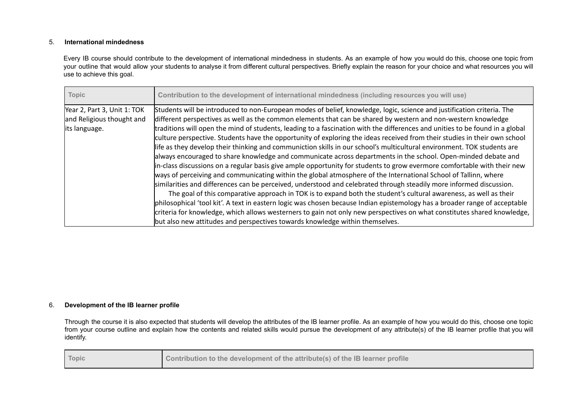## 5. **International mindedness**

Every IB course should contribute to the development of international mindedness in students. As an example of how you would do this, choose one topic from your outline that would allow your students to analyse it from different cultural perspectives. Briefly explain the reason for your choice and what resources you will use to achieve this goal.

| <b>Topic</b>                                                              | Contribution to the development of international mindedness (including resources you will use)                                                                                                                                                                                                                                                                                                                                                                                                                                                                                                                                                                                                                                                                                                                                                                                                                                                                                                                                                                                                                                                                                                                                                                                                                                                                                                                                                                                                                                                                                      |
|---------------------------------------------------------------------------|-------------------------------------------------------------------------------------------------------------------------------------------------------------------------------------------------------------------------------------------------------------------------------------------------------------------------------------------------------------------------------------------------------------------------------------------------------------------------------------------------------------------------------------------------------------------------------------------------------------------------------------------------------------------------------------------------------------------------------------------------------------------------------------------------------------------------------------------------------------------------------------------------------------------------------------------------------------------------------------------------------------------------------------------------------------------------------------------------------------------------------------------------------------------------------------------------------------------------------------------------------------------------------------------------------------------------------------------------------------------------------------------------------------------------------------------------------------------------------------------------------------------------------------------------------------------------------------|
| Year 2, Part 3, Unit 1: TOK<br>and Religious thought and<br>its language. | Students will be introduced to non-European modes of belief, knowledge, logic, science and justification criteria. The<br>different perspectives as well as the common elements that can be shared by western and non-western knowledge<br>traditions will open the mind of students, leading to a fascination with the differences and unities to be found in a global<br>culture perspective. Students have the opportunity of exploring the ideas received from their studies in their own school<br>life as they develop their thinking and communiction skills in our school's multicultural environment. TOK students are<br>always encouraged to share knowledge and communicate across departments in the school. Open-minded debate and<br>in-class discussions on a regular basis give ample opportunity for students to grow evermore comfortable with their new<br>ways of perceiving and communicating within the global atmosphere of the International School of Tallinn, where<br>similarities and differences can be perceived, understood and celebrated through steadily more informed discussion.<br>The goal of this comparative approach in TOK is to expand both the student's cultural awareness, as well as their<br>philosophical 'tool kit'. A text in eastern logic was chosen because Indian epistemology has a broader range of acceptable<br>criteria for knowledge, which allows westerners to gain not only new perspectives on what constitutes shared knowledge,<br>but also new attitudes and perspectives towards knowledge within themselves. |

#### 6. **Development of the IB learner profile**

Through the course it is also expected that students will develop the attributes of the IB learner profile. As an example of how you would do this, choose one topic from your course outline and explain how the contents and related skills would pursue the development of any attribute(s) of the IB learner profile that you will identify.

| Topic | Contribution to the development of the attribute(s) of the IB learner profile |
|-------|-------------------------------------------------------------------------------|
|-------|-------------------------------------------------------------------------------|